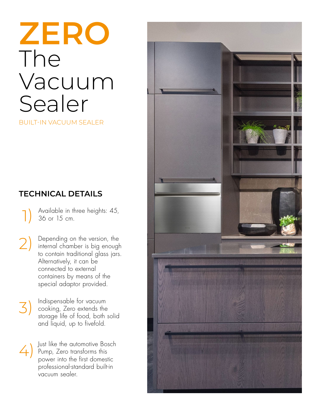# **ZERO** The Vacuum Sealer

BUILT-IN VACUUM SEALER

## **TECHNICAL DETAILS**

Available in three heights: 45, 36 or 15 cm. 1)

Depending on the version, the internal chamber is big enough to contain traditional glass jars. Alternatively, it can be connected to external containers by means of the special adaptor provided. 2)

Indispensable for vacuum cooking, Zero extends the storage life of food, both solid and liquid, up to fivefold. 3)

Just like the automotive Bosch Pump, Zero transforms this power into the first domestic professional-standard built-in vacuum sealer.  $\sqrt{2}$